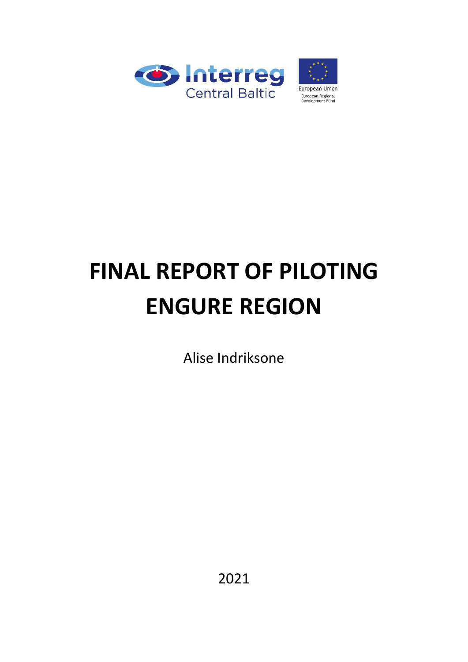

## **FINAL REPORT OF PILOTING ENGURE REGION**

Alise Indriksone

2021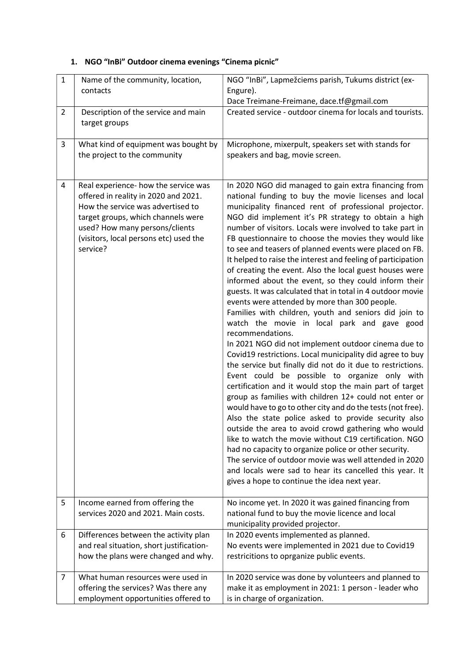## 1. NGO "InBi" Outdoor cinema evenings "Cinema picnic"

| $\mathbf{1}$   | Name of the community, location,<br>contacts                                                                                                                                                                                                    | NGO "InBi", Lapmežciems parish, Tukums district (ex-<br>Engure).<br>Dace Treimane-Freimane, dace.tf@gmail.com                                                                                                                                                                                                                                                                                                                                                                                                                                                                                                                                                                                                                                                                                                                                                                                                                                                                                                                                                                                                                                                                                                                                                                                                                                                                                                                                                                                                                                                                                                                                                            |
|----------------|-------------------------------------------------------------------------------------------------------------------------------------------------------------------------------------------------------------------------------------------------|--------------------------------------------------------------------------------------------------------------------------------------------------------------------------------------------------------------------------------------------------------------------------------------------------------------------------------------------------------------------------------------------------------------------------------------------------------------------------------------------------------------------------------------------------------------------------------------------------------------------------------------------------------------------------------------------------------------------------------------------------------------------------------------------------------------------------------------------------------------------------------------------------------------------------------------------------------------------------------------------------------------------------------------------------------------------------------------------------------------------------------------------------------------------------------------------------------------------------------------------------------------------------------------------------------------------------------------------------------------------------------------------------------------------------------------------------------------------------------------------------------------------------------------------------------------------------------------------------------------------------------------------------------------------------|
| $\overline{2}$ | Description of the service and main<br>target groups                                                                                                                                                                                            | Created service - outdoor cinema for locals and tourists.                                                                                                                                                                                                                                                                                                                                                                                                                                                                                                                                                                                                                                                                                                                                                                                                                                                                                                                                                                                                                                                                                                                                                                                                                                                                                                                                                                                                                                                                                                                                                                                                                |
| 3              | What kind of equipment was bought by<br>the project to the community                                                                                                                                                                            | Microphone, mixerpult, speakers set with stands for<br>speakers and bag, movie screen.                                                                                                                                                                                                                                                                                                                                                                                                                                                                                                                                                                                                                                                                                                                                                                                                                                                                                                                                                                                                                                                                                                                                                                                                                                                                                                                                                                                                                                                                                                                                                                                   |
| 4              | Real experience- how the service was<br>offered in reality in 2020 and 2021.<br>How the service was advertised to<br>target groups, which channels were<br>used? How many persons/clients<br>(visitors, local persons etc) used the<br>service? | In 2020 NGO did managed to gain extra financing from<br>national funding to buy the movie licenses and local<br>municipality financed rent of professional projector.<br>NGO did implement it's PR strategy to obtain a high<br>number of visitors. Locals were involved to take part in<br>FB questionnaire to choose the movies they would like<br>to see and teasers of planned events were placed on FB.<br>It helped to raise the interest and feeling of participation<br>of creating the event. Also the local guest houses were<br>informed about the event, so they could inform their<br>guests. It was calculated that in total in 4 outdoor movie<br>events were attended by more than 300 people.<br>Families with children, youth and seniors did join to<br>watch the movie in local park and gave good<br>recommendations.<br>In 2021 NGO did not implement outdoor cinema due to<br>Covid19 restrictions. Local municipality did agree to buy<br>the service but finally did not do it due to restrictions.<br>Event could be possible to organize only with<br>certification and it would stop the main part of target<br>group as families with children 12+ could not enter or<br>would have to go to other city and do the tests (not free).<br>Also the state police asked to provide security also<br>outside the area to avoid crowd gathering who would<br>like to watch the movie without C19 certification. NGO<br>had no capacity to organize police or other security.<br>The service of outdoor movie was well attended in 2020<br>and locals were sad to hear its cancelled this year. It<br>gives a hope to continue the idea next year. |
| 5              | Income earned from offering the<br>services 2020 and 2021. Main costs.                                                                                                                                                                          | No income yet. In 2020 it was gained financing from<br>national fund to buy the movie licence and local<br>municipality provided projector.                                                                                                                                                                                                                                                                                                                                                                                                                                                                                                                                                                                                                                                                                                                                                                                                                                                                                                                                                                                                                                                                                                                                                                                                                                                                                                                                                                                                                                                                                                                              |
| 6              | Differences between the activity plan<br>and real situation, short justification-<br>how the plans were changed and why.                                                                                                                        | In 2020 events implemented as planned.<br>No events were implemented in 2021 due to Covid19<br>restricitions to oprganize public events.                                                                                                                                                                                                                                                                                                                                                                                                                                                                                                                                                                                                                                                                                                                                                                                                                                                                                                                                                                                                                                                                                                                                                                                                                                                                                                                                                                                                                                                                                                                                 |
| $\overline{7}$ | What human resources were used in<br>offering the services? Was there any<br>employment opportunities offered to                                                                                                                                | In 2020 service was done by volunteers and planned to<br>make it as employment in 2021: 1 person - leader who<br>is in charge of organization.                                                                                                                                                                                                                                                                                                                                                                                                                                                                                                                                                                                                                                                                                                                                                                                                                                                                                                                                                                                                                                                                                                                                                                                                                                                                                                                                                                                                                                                                                                                           |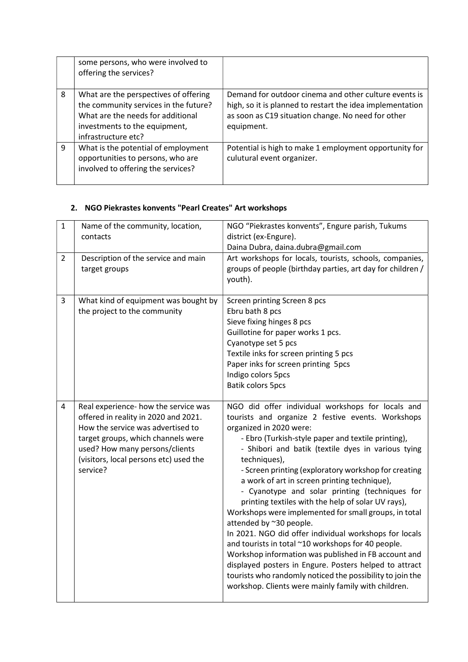|   | some persons, who were involved to<br>offering the services?                                                                                                                |                                                                                                                                                                                        |
|---|-----------------------------------------------------------------------------------------------------------------------------------------------------------------------------|----------------------------------------------------------------------------------------------------------------------------------------------------------------------------------------|
| 8 | What are the perspectives of offering<br>the community services in the future?<br>What are the needs for additional<br>investments to the equipment,<br>infrastructure etc? | Demand for outdoor cinema and other culture events is<br>high, so it is planned to restart the idea implementation<br>as soon as C19 situation change. No need for other<br>equipment. |
| 9 | What is the potential of employment<br>opportunities to persons, who are<br>involved to offering the services?                                                              | Potential is high to make 1 employment opportunity for<br>culutural event organizer.                                                                                                   |

## 2. NGO Piekrastes konvents "Pearl Creates" Art workshops

| $\mathbf{1}$   | Name of the community, location,                                     | NGO "Piekrastes konvents", Engure parish, Tukums                                                                      |
|----------------|----------------------------------------------------------------------|-----------------------------------------------------------------------------------------------------------------------|
|                | contacts                                                             | district (ex-Engure).                                                                                                 |
|                |                                                                      | Daina Dubra, daina.dubra@gmail.com                                                                                    |
| $\overline{2}$ | Description of the service and main                                  | Art workshops for locals, tourists, schools, companies,<br>groups of people (birthday parties, art day for children / |
|                | target groups                                                        | youth).                                                                                                               |
|                |                                                                      |                                                                                                                       |
| 3              | What kind of equipment was bought by                                 | Screen printing Screen 8 pcs                                                                                          |
|                | the project to the community                                         | Ebru bath 8 pcs                                                                                                       |
|                |                                                                      | Sieve fixing hinges 8 pcs                                                                                             |
|                |                                                                      | Guillotine for paper works 1 pcs.                                                                                     |
|                |                                                                      | Cyanotype set 5 pcs                                                                                                   |
|                |                                                                      | Textile inks for screen printing 5 pcs<br>Paper inks for screen printing 5pcs                                         |
|                |                                                                      | Indigo colors 5pcs                                                                                                    |
|                |                                                                      | <b>Batik colors 5pcs</b>                                                                                              |
|                |                                                                      |                                                                                                                       |
| 4              | Real experience- how the service was                                 | NGO did offer individual workshops for locals and                                                                     |
|                | offered in reality in 2020 and 2021.                                 | tourists and organize 2 festive events. Workshops                                                                     |
|                | How the service was advertised to                                    | organized in 2020 were:                                                                                               |
|                | target groups, which channels were<br>used? How many persons/clients | - Ebro (Turkish-style paper and textile printing),<br>- Shibori and batik (textile dyes in various tying              |
|                | (visitors, local persons etc) used the                               | techniques),                                                                                                          |
|                | service?                                                             | - Screen printing (exploratory workshop for creating                                                                  |
|                |                                                                      | a work of art in screen printing technique),                                                                          |
|                |                                                                      | - Cyanotype and solar printing (techniques for                                                                        |
|                |                                                                      | printing textiles with the help of solar UV rays),                                                                    |
|                |                                                                      | Workshops were implemented for small groups, in total                                                                 |
|                |                                                                      | attended by ~30 people.                                                                                               |
|                |                                                                      | In 2021. NGO did offer individual workshops for locals<br>and tourists in total ~10 workshops for 40 people.          |
|                |                                                                      | Workshop information was published in FB account and                                                                  |
|                |                                                                      | displayed posters in Engure. Posters helped to attract                                                                |
|                |                                                                      | tourists who randomly noticed the possibility to join the                                                             |
|                |                                                                      | workshop. Clients were mainly family with children.                                                                   |
|                |                                                                      |                                                                                                                       |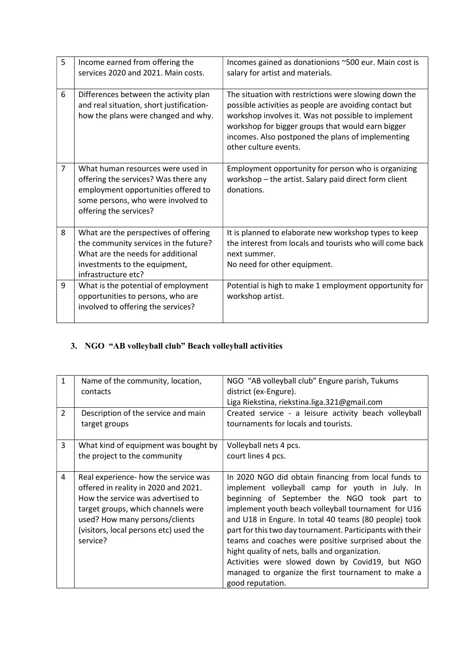| 5              | Income earned from offering the                                                                                                                                                  | Incomes gained as donationions ~500 eur. Main cost is                                                                                                                                                                                                                                                     |
|----------------|----------------------------------------------------------------------------------------------------------------------------------------------------------------------------------|-----------------------------------------------------------------------------------------------------------------------------------------------------------------------------------------------------------------------------------------------------------------------------------------------------------|
|                | services 2020 and 2021. Main costs.                                                                                                                                              | salary for artist and materials.                                                                                                                                                                                                                                                                          |
|                |                                                                                                                                                                                  |                                                                                                                                                                                                                                                                                                           |
| 6              | Differences between the activity plan<br>and real situation, short justification-<br>how the plans were changed and why.                                                         | The situation with restrictions were slowing down the<br>possible activities as people are avoiding contact but<br>workshop involves it. Was not possible to implement<br>workshop for bigger groups that would earn bigger<br>incomes. Also postponed the plans of implementing<br>other culture events. |
| $\overline{7}$ | What human resources were used in<br>offering the services? Was there any<br>employment opportunities offered to<br>some persons, who were involved to<br>offering the services? | Employment opportunity for person who is organizing<br>workshop - the artist. Salary paid direct form client<br>donations.                                                                                                                                                                                |
| 8              | What are the perspectives of offering<br>the community services in the future?<br>What are the needs for additional<br>investments to the equipment,<br>infrastructure etc?      | It is planned to elaborate new workshop types to keep<br>the interest from locals and tourists who will come back<br>next summer.<br>No need for other equipment.                                                                                                                                         |
| 9              | What is the potential of employment<br>opportunities to persons, who are<br>involved to offering the services?                                                                   | Potential is high to make 1 employment opportunity for<br>workshop artist.                                                                                                                                                                                                                                |

## 3. NGO "AB volleyball club" Beach volleyball activities

| $\mathbf{1}$<br>2 | Name of the community, location,<br>contacts<br>Description of the service and main<br>target groups                                                                                                                                            | NGO "AB volleyball club" Engure parish, Tukums<br>district (ex-Engure).<br>Liga Riekstina, riekstina.liga.321@gmail.com<br>Created service - a leisure activity beach volleyball<br>tournaments for locals and tourists.                                                                                                                                                                                                                                                                                                                                                  |
|-------------------|-------------------------------------------------------------------------------------------------------------------------------------------------------------------------------------------------------------------------------------------------|---------------------------------------------------------------------------------------------------------------------------------------------------------------------------------------------------------------------------------------------------------------------------------------------------------------------------------------------------------------------------------------------------------------------------------------------------------------------------------------------------------------------------------------------------------------------------|
| 3                 | What kind of equipment was bought by<br>the project to the community                                                                                                                                                                            | Volleyball nets 4 pcs.<br>court lines 4 pcs.                                                                                                                                                                                                                                                                                                                                                                                                                                                                                                                              |
| 4                 | Real experience- how the service was<br>offered in reality in 2020 and 2021.<br>How the service was advertised to<br>target groups, which channels were<br>used? How many persons/clients<br>(visitors, local persons etc) used the<br>service? | In 2020 NGO did obtain financing from local funds to<br>implement volleyball camp for youth in July. In<br>beginning of September the NGO took part to<br>implement youth beach volleyball tournament for U16<br>and U18 in Engure. In total 40 teams (80 people) took<br>part for this two day tournament. Participants with their<br>teams and coaches were positive surprised about the<br>hight quality of nets, balls and organization.<br>Activities were slowed down by Covid19, but NGO<br>managed to organize the first tournament to make a<br>good reputation. |